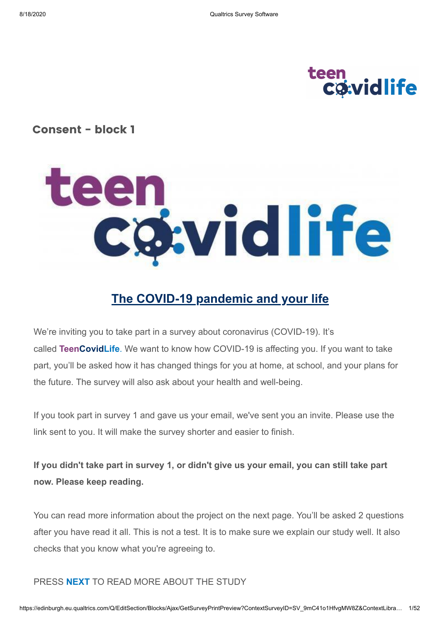# teen<br>Coividlife

#### **Consent - block 1**



# **The COVID-19 pandemic and your life**

We're inviting you to take part in a survey about coronavirus (COVID-19). It's called **TeenCovidLife**. We want to know how COVID-19 is affecting you. If you want to take part, you'll be asked how it has changed things for you at home, at school, and your plans for the future. The survey will also ask about your health and well-being.

If you took part in survey 1 and gave us your email, we've sent you an invite. Please use the link sent to you. It will make the survey shorter and easier to finish.

**If you didn't take part in survey 1, or didn't give us your email, you can still take part now. Please keep reading.** 

You can read more information about the project on the next page. You'll be asked 2 questions after you have read it all. This is not a test. It is to make sure we explain our study well. It also checks that you know what you're agreeing to.

#### PRESS **NEXT** TO READ MORE ABOUT THE STUDY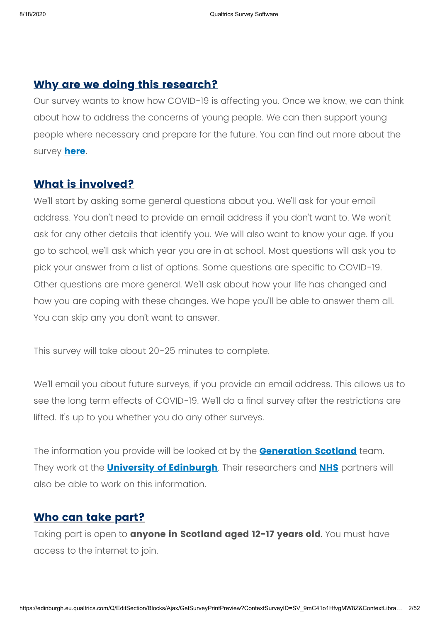#### **Why are we doing this research?**

Our survey wants to know how COVID-19 is affecting you. Once we know, we can think about how to address the concerns of young people. We can then support young people where necessary and prepare for the future. You can find out more about the survey **[here](https://www.ed.ac.uk/generation-scotland/covidlife-volunteers/teencovidlife)**.

#### **What is involved?**

We'll start by asking some general questions about you. We'll ask for your email address. You don't need to provide an email address if you don't want to. We won't ask for any other details that identify you. We will also want to know your age. If you go to school, we'll ask which year you are in at school. Most questions will ask you to pick your answer from a list of options. Some questions are specific to COVID-19. Other questions are more general. We'll ask about how your life has changed and how you are coping with these changes. We hope you'll be able to answer them all. You can skip any you don't want to answer.

This survey will take about 20-25 minutes to complete.

We'll email you about future surveys, if you provide an email address. This allows us to see the long term effects of COVID-19. We'll do a final survey after the restrictions are lifted. It's up to you whether you do any other surveys.

The information you provide will be looked at by the **[Generation](http://generationscotland.org/) Scotland** team. They work at the **University of [Edinburgh](http://www.ed.ac.uk/)**. Their researchers and **[NHS](http://www.nhs.uk/nhs-sites/)** partners will also be able to work on this information.

#### **Who can take part?**

Taking part is open to **anyone in Scotland aged 12-17 years old**. You must have access to the internet to join.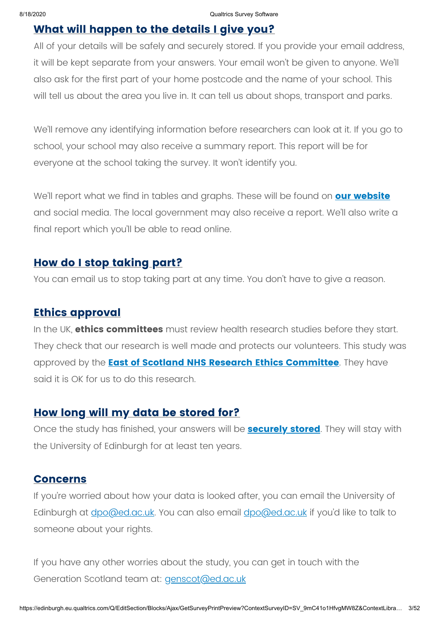#### **What will happen to the details I give you?**

All of your details will be safely and securely stored. If you provide your email address, it will be kept separate from your answers. Your email won't be given to anyone. We'll also ask for the first part of your home postcode and the name of your school. This will tell us about the area you live in. It can tell us about shops, transport and parks.

We'll remove any identifying information before researchers can look at it. If you go to school, your school may also receive a summary report. This report will be for everyone at the school taking the survey. It won't identify you.

We'll report what we find in tables and graphs. These will be found on **our [website](http://www.ed.ac.uk/generation-scotland/what-have-we-found)** and social media. The local government may also receive a report. We'll also write a final report which you'll be able to read online.

#### **How do I stop taking part?**

You can email us to stop taking part at any time. You don't have to give a reason.

#### **Ethics approval**

In the UK, **ethics committees** must review health research studies before they start. They check that our research is well made and protects our volunteers. This study was approved by the **East of Scotland NHS Research Ethics [Committee](http://www.nhstayside.scot.nhs.uk/YourHealthBoard/TheBoardanditsCommittees/EastofScotlandResearchEthicsService/index.htm)**. They have said it is OK for us to do this research.

#### **How long will my data be stored for?**

Once the study has finished, your answers will be **[securely](http://www.ed.ac.uk/generation-scotland/covidlife-volunteers/faqs) stored**. They will stay with the University of Edinburgh for at least ten years.

#### **Concerns**

If you're worried about how your data is looked after, you can email the University of Edinburgh at <u>[dpo@ed.ac.uk](mailto:dpo@ed.ac.uk)</u>. You can also email **dpo@ed.ac.uk** if you'd like to talk to someone about your rights.

If you have any other worries about the study, you can get in touch with the Generation Scotland team at: [genscot@ed.ac.uk](mailto:genscot@ed.ac.uk)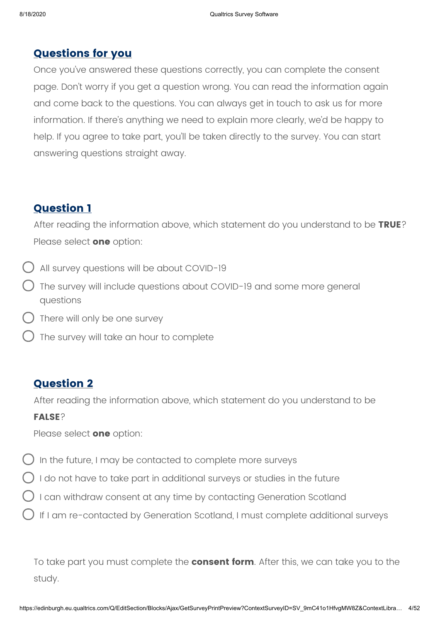#### **Questions for you**

Once you've answered these questions correctly, you can complete the consent page. Don't worry if you get a question wrong. You can read the information again and come back to the questions. You can always get in touch to ask us for more information. If there's anything we need to explain more clearly, we'd be happy to help. If you agree to take part, you'll be taken directly to the survey. You can start answering questions straight away.

#### **Question 1**

After reading the information above, which statement do you understand to be **TRUE**? Please select **one** option:

- All survey questions will be about COVID-19
- The survey will include questions about COVID-19 and some more general questions
- There will only be one survey
- The survey will take an hour to complete

#### **Question 2**

After reading the information above, which statement do you understand to be

#### **FALSE**?

Please select **one** option:

- ) In the future, I may be contacted to complete more surveys
- I do not have to take part in additional surveys or studies in the future
- I can withdraw consent at any time by contacting Generation Scotland
- If I am re-contacted by Generation Scotland, I must complete additional surveys

To take part you must complete the **consent form**. After this, we can take you to the study.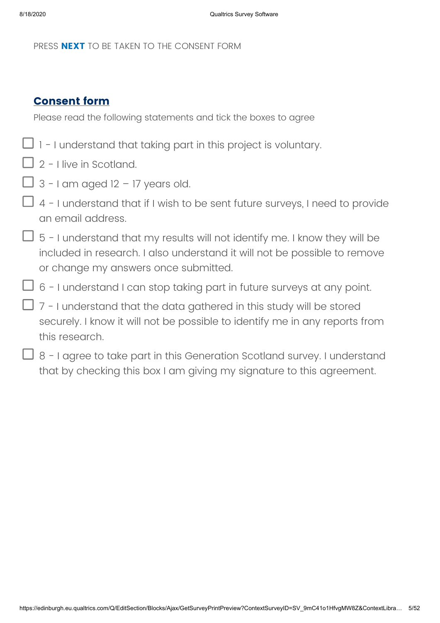PRESS **NEXT** TO BE TAKEN TO THE CONSENT FORM

#### **Consent form**

Please read the following statements and tick the boxes to agree

- $\Box$  1 I understand that taking part in this project is voluntary.
- $\Box$  2 I live in Scotland.
- $\Box$  3 I am aged 12 17 years old.
- 1 4 I understand that if I wish to be sent future surveys, I need to provide an email address.
- $\Box$  5 I understand that my results will not identify me. I know they will be included in research. I also understand it will not be possible to remove or change my answers once submitted.
- $\Box$  6 I understand I can stop taking part in future surveys at any point.
- $\Box$  7 I understand that the data gathered in this study will be stored securely. I know it will not be possible to identify me in any reports from this research.
- $\Box$  8 I agree to take part in this Generation Scotland survey. I understand that by checking this box I am giving my signature to this agreement.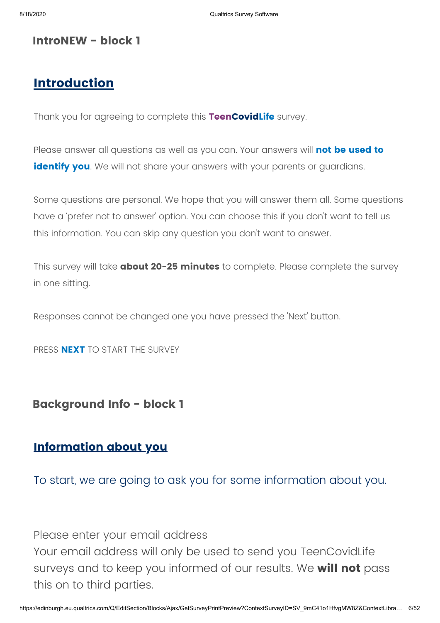#### **IntroNEW - block 1**

### **Introduction**

Thank you for agreeing to complete this **TeenCovidLife** survey.

Please answer all questions as well as you can. Your answers will **not be used to identify you**. We will not share your answers with your parents or quardians.

Some questions are personal. We hope that you will answer them all. Some questions have a 'prefer not to answer' option. You can choose this if you don't want to tell us this information. You can skip any question you don't want to answer.

This survey will take **about 20-25 minutes** to complete. Please complete the survey in one sitting.

Responses cannot be changed one you have pressed the 'Next' button.

PRESS **NEXT** TO START THE SURVEY

#### **Background Info - block 1**

# **Information about you**

To start, we are going to ask you for some information about you.

Please enter your email address

Your email address will only be used to send you TeenCovidLife surveys and to keep you informed of our results. We **will not** pass this on to third parties.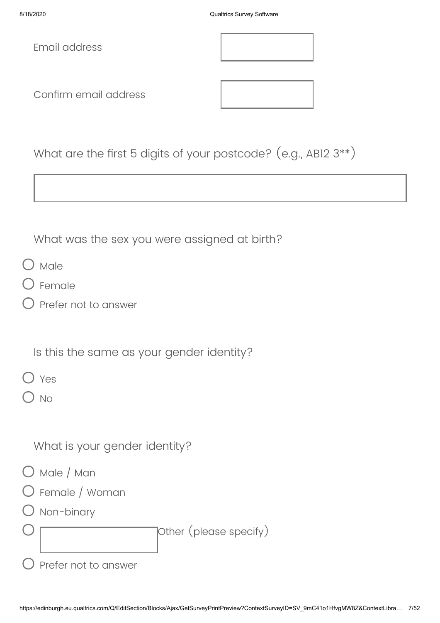Email address

Confirm email address



What are the first 5 digits of your postcode? (e.g., AB12 3\*\*)

What was the sex you were assigned at birth?

- ) Male
- Female
- Prefer not to answer

Is this the same as your gender identity?

 $\bigcap$  Yes

 $\overline{N}$ 

What is your gender identity?

- O Male / Man
- Female / Woman
- Non-binary

Other (please specify)

|  | $\cup$ Prefer not to answer |
|--|-----------------------------|
|  |                             |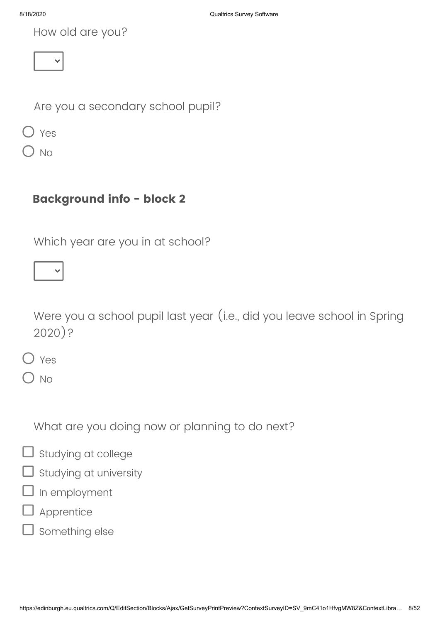How old are you?

Are you a secondary school pupil?

Yes

No

# **Background info - block 2**

Which year are you in at school?

Were you a school pupil last year (i.e., did you leave school in Spring 2020)?

Yes

 $\overline{\phantom{1}}$  No

What are you doing now or planning to do next?

# $\Box$  studying at college

- $\mathsf{\overline{J}}$  Studying at university
- In employment
- Apprentice
- Something else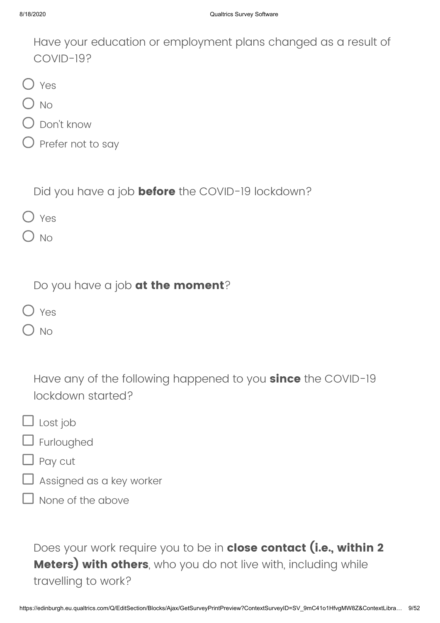Have your education or employment plans changed as a result of COVID-19?

|--|

- $O$  No
- Don't know
- $\bigcirc$  Prefer not to say

Did you have a job **before** the COVID-19 lockdown?

- O Yes
- $\bigcirc$  No

Do you have a job **at the moment**?

- O Yes
- ) No

Have any of the following happened to you **since** the COVID-19 lockdown started?

- $\Box$  Lost job
- $\Box$  Furloughed
- Pay cut
- Assigned as a key worker
- None of the above

Does your work require you to be in **close contact (i.e., within 2 Meters) with others**, who you do not live with, including while travelling to work?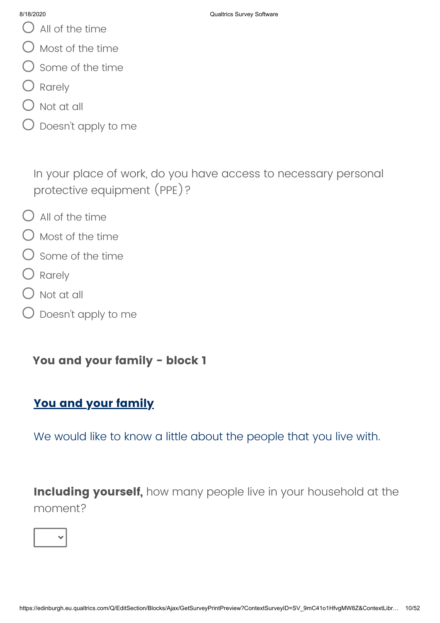- $\bigcup$  All of the time
- $\bigcirc$  Most of the time
- $\bigcirc$  Some of the time
- O Rarely
- $\bigcirc$  Not at all
- $\bigcirc$  Doesn't apply to me

In your place of work, do you have access to necessary personal protective equipment (PPE)?

- $\bigcap$  All of the time
- $\bigcirc$  Most of the time
- $\bigcirc$  Some of the time
- O Rarely
- $\bigcirc$  Not at all
- Doesn't apply to me

**You and your family - block 1**

# **You and your family**

We would like to know a little about the people that you live with.

**Including yourself,** how many people live in your household at the moment?

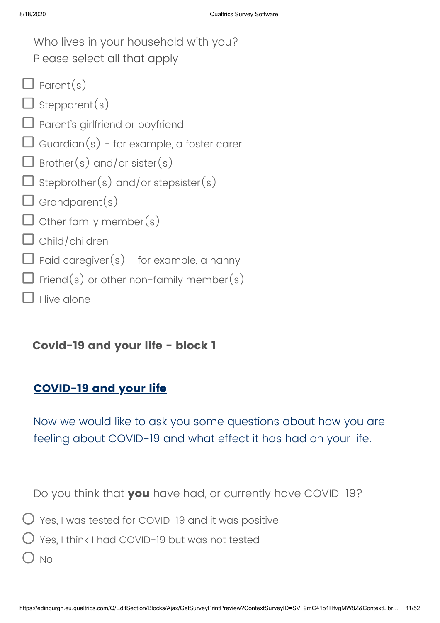| Who lives in your household with you?            |
|--------------------------------------------------|
| Please select all that apply                     |
| $\Box$ Parent(s)                                 |
| $\Box$ Stepparent(s)                             |
| $\Box$ Parent's girlfriend or boyfriend          |
| $\Box$ Guardian(s) - for example, a foster carer |
| $\Box$ Brother(s) and/or sister(s)               |
| $\Box$ stepbrother(s) and/or stepsister(s)       |
| $\Box$ Grandparent(s)                            |
| $\Box$ other family member(s)                    |
| $\Box$ Child/children                            |
| $\Box$ Paid caregiver(s) - for example, a nanny  |
| $\Box$ Friend(s) or other non-family member(s)   |
| I live alone                                     |

**Covid-19 and your life - block 1**

# **COVID-19 and your life**

Now we would like to ask you some questions about how you are feeling about COVID-19 and what effect it has had on your life.

Do you think that **you** have had, or currently have COVID-19?

- Yes, I was tested for COVID-19 and it was positive
- $\bigcirc$  Yes, I think I had COVID-19 but was not tested
- $O$  No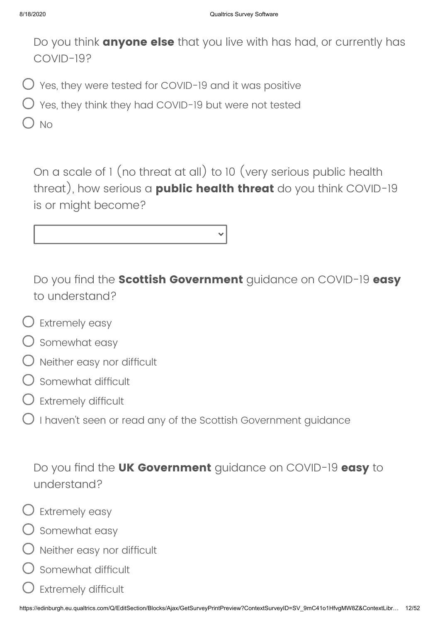Do you think **anyone else** that you live with has had, or currently has COVID-19?

- $\bigcup$  Yes, they were tested for COVID-19 and it was positive
- $\bigcirc$  Yes, they think they had COVID-19 but were not tested

) No

On a scale of 1 (no threat at all) to 10 (very serious public health threat), how serious a **public health threat** do you think COVID-19 is or might become?

Do you find the **Scottish Government** guidance on COVID-19 **easy** to understand?

- $\bigcirc$  Extremely easy
- $\bigcirc$  Somewhat easy
- $\bigcirc$  Neither easy nor difficult
- Somewhat difficult
- $\bigcirc$  Extremely difficult
- $\bigcirc$  I haven't seen or read any of the Scottish Government quidance

Do you find the **UK Government** guidance on COVID-19 **easy** to understand?



- $\bigcirc$  Extremely easy
- $\bigcirc$  Somewhat easy
- Neither easy nor difficult
- Somewhat difficult
- Extremely difficult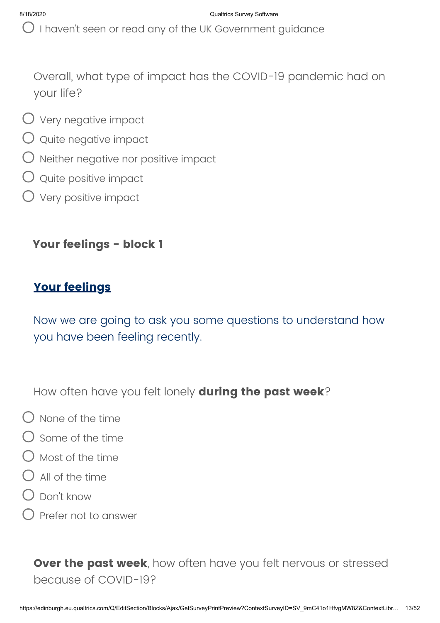$\bigcirc$  I haven't seen or read any of the UK Government guidance

Overall, what type of impact has the COVID-19 pandemic had on your life?

- $\bigcirc$  Very negative impact
- Quite negative impact
- $\bigcirc$  Neither negative nor positive impact
- $\bigcirc$  Quite positive impact
- $\bigcirc$  Very positive impact

#### **Your feelings - block 1**

#### **Your feelings**

Now we are going to ask you some questions to understand how you have been feeling recently.

How often have you felt lonely **during the past week**?

- $\bigcap$  None of the time
- $\bigcap$  Some of the time
- $\bigcirc$  Most of the time
- $\bigcap$  All of the time
- $\bigcirc$  Don't know
- Prefer not to answer

**Over the past week**, how often have you felt nervous or stressed because of COVID-19?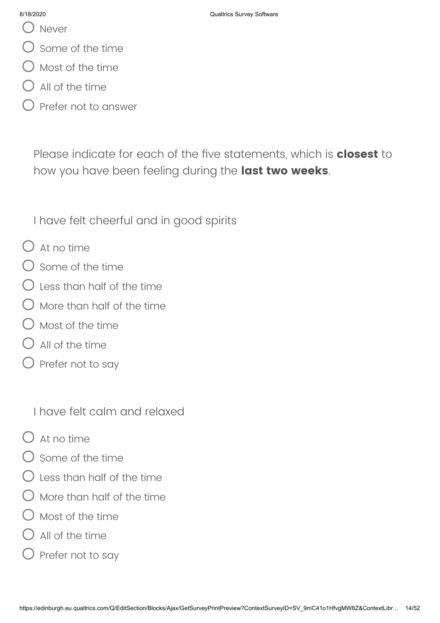- () Never
- Some of the time
- Most of the time
- All of the time
- Prefer not to answer

Please indicate for each of the five statements, which is **closest** to how you have been feeling during the **last two weeks**.

I have felt cheerful and in good spirits

- $O$  At no time
- $\bigcirc$  some of the time
- $\bigcirc$  Less than half of the time
- More than half of the time
- Most of the time
- $\bigcirc$  all of the time
- Prefer not to say

I have felt calm and relaxed

- $\bigcap$  At no time
- Some of the time
- Less than half of the time
- More than half of the time
- $\bigcap$  Most of the time
- $\bigcirc$  All of the time
- Prefer not to say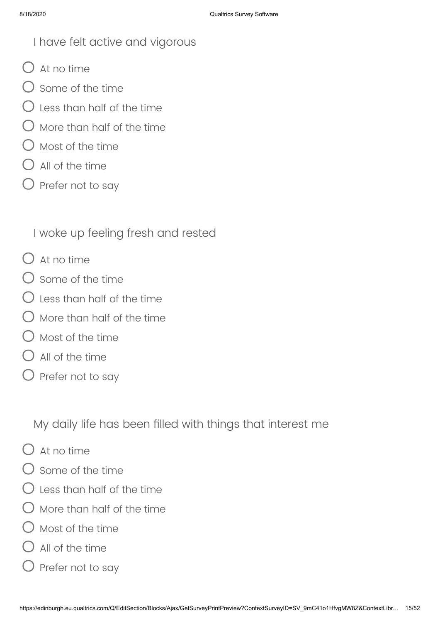# I have felt active and vigorous

- $O$  At no time
- $\bigcap$  some of the time
- $\bigcirc$  less than half of the time
- More than half of the time
- $\bigcirc$  Most of the time
- $\Box$  All of the time
- $\bigcirc$  Prefer not to say

I woke up feeling fresh and rested

- $O$  At no time
- $\bigcirc$  Some of the time
- $\bigcap$  less than half of the time
- ) More than half of the time
- $\bigcap$  Most of the time
- $\bigcirc$  All of the time
- $\bigcirc$  Prefer not to say

My daily life has been filled with things that interest me

- $\bigcap$  At no time
- $\bigcirc$  some of the time
- $\bigcirc$  less than half of the time
- More than half of the time
- $\bigcirc$  Most of the time
- $\Box$  All of the time
- Prefer not to say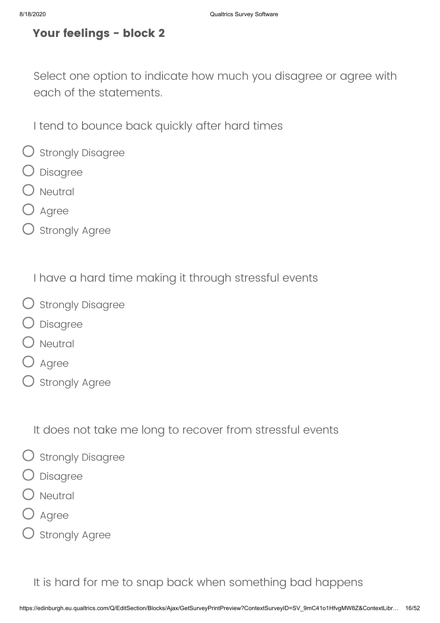## **Your feelings - block 2**

Select one option to indicate how much you disagree or agree with each of the statements.

I tend to bounce back quickly after hard times

- O Strongly Disagree
- Disagree
- $\bigcirc$  Neutral
- ) Agree
- $O$  Strongly Agree

I have a hard time making it through stressful events

- O strongly Disagree
- Disagree
- $O$  Neutral
- O Agree
- $O$  Strongly Agree

It does not take me long to recover from stressful events

- $\bigcirc$  Strongly Disagree
- Disagree
- Neutral
- Agree
- ) Strongly Agree

It is hard for me to snap back when something bad happens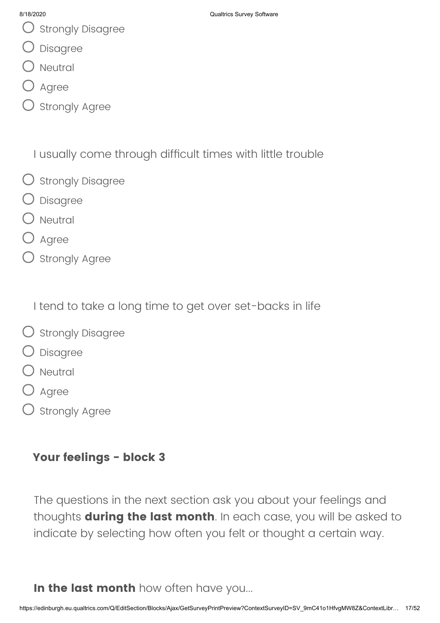- $\bigcup$  Strongly Disagree
- Disagree
- ) Neutral
- Agree
- ) Strongly Agree

I usually come through difficult times with little trouble

- O strongly Disagree
- Disagree
- ) Neutral
- Agree
- $O$  Strongly Agree

I tend to take a long time to get over set-backs in life

- O strongly Disagree
- Disagree
- Neutral
- D Agree
- ) Strongly Agree

# **Your feelings - block 3**

The questions in the next section ask you about your feelings and thoughts **during the last month**. In each case, you will be asked to indicate by selecting how often you felt or thought a certain way.

**In the last month** how often have you...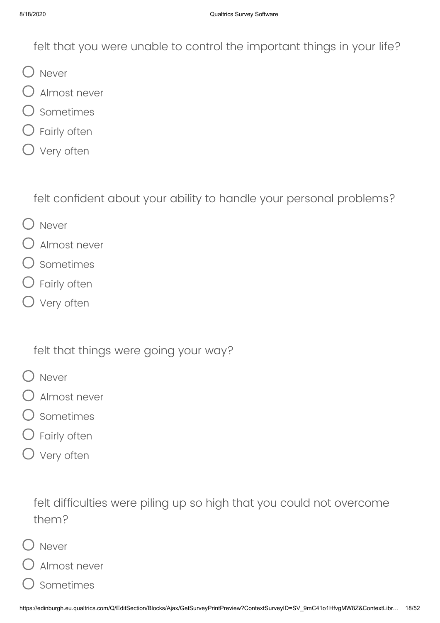felt that you were unable to control the important things in your life?

- O Never
- Almost never
- Sometimes
- Fairly often
- O Very often

felt confident about your ability to handle your personal problems?

- O Never
- Almost never
- Sometimes
- $\bigcirc$  Fairly often
- O Very often

felt that things were going your way?

- O Never
- Almost never
- Sometimes
- Fairly often
- O Very often

felt difficulties were piling up so high that you could not overcome them?

Never

Almost never

Sometimes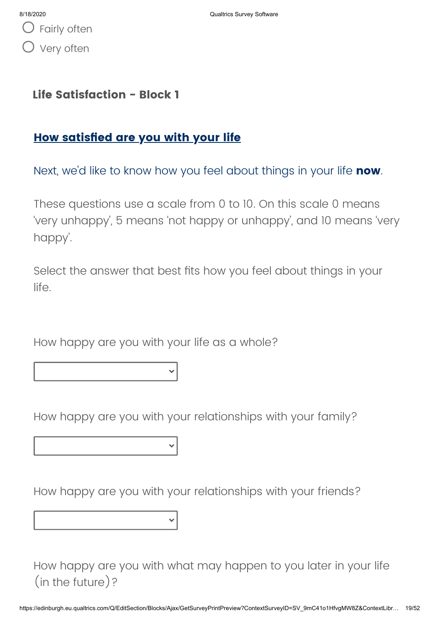Fairly often Very often

#### **Life Satisfaction - Block 1**

# **How satisfied are you with your life**

Next, we'd like to know how you feel about things in your life **now**.

These questions use a scale from 0 to 10. On this scale 0 means 'very unhappy', 5 means 'not happy or unhappy', and 10 means 'very happy'.

Select the answer that best fits how you feel about things in your life.

How happy are you with your life as a whole?

How happy are you with your relationships with your family?

How happy are you with your relationships with your friends?

How happy are you with what may happen to you later in your life (in the future)?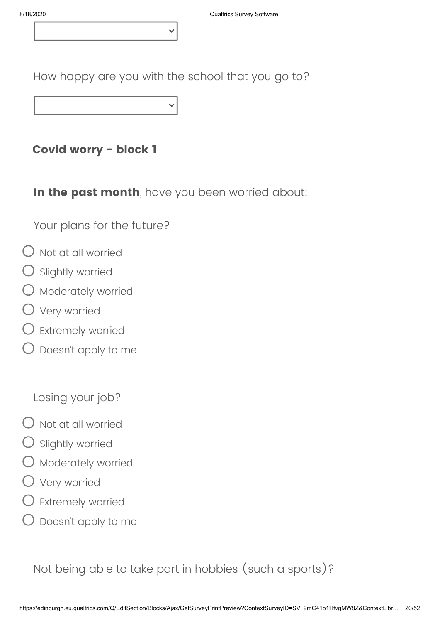How happy are you with the school that you go to?

**Covid worry - block 1**

**In the past month**, have you been worried about:

Your plans for the future?

- Not at all worried
- Slightly worried
- Moderately worried
- Very worried
- Extremely worried
- Doesn't apply to me

Losing your job?

- $\bigcirc$  Not at all worried
- Slightly worried
- Moderately worried
- Very worried
- Extremely worried
- Doesn't apply to me

Not being able to take part in hobbies (such a sports)?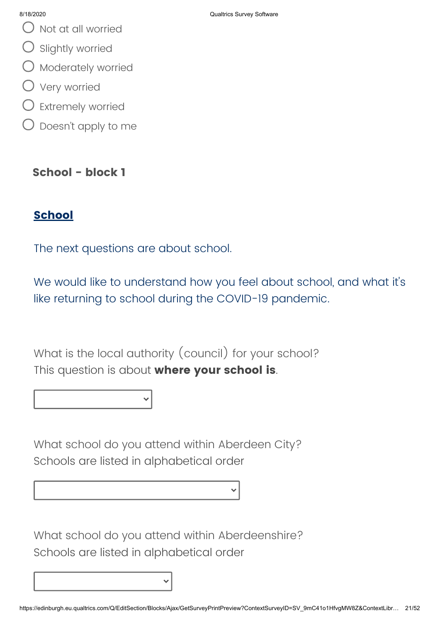- Not at all worried
- $\bigcirc$  Slightly worried
- $\bigcirc$  Moderately worried
- Very worried
- $\bigcirc$  Extremely worried
- $\bigcirc$  Doesn't apply to me

# **School - block 1**

# **School**

The next questions are about school.

We would like to understand how you feel about school, and what it's like returning to school during the COVID-19 pandemic.

What is the local authority (council) for your school? This question is about **where your school is**.

What school do you attend within Aberdeen City? Schools are listed in alphabetical order

What school do you attend within Aberdeenshire? Schools are listed in alphabetical order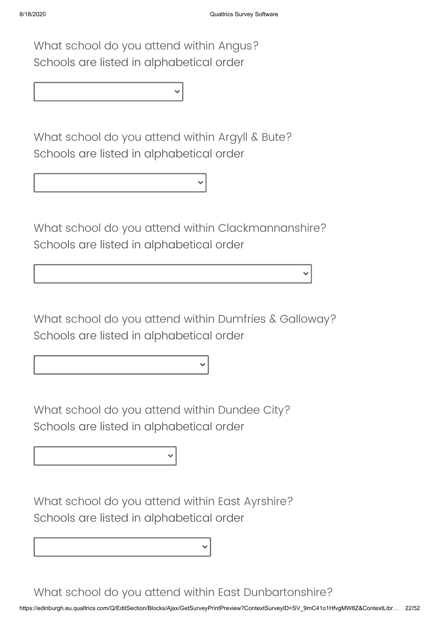What school do you attend within Angus? Schools are listed in alphabetical order

What school do you attend within Argyll & Bute? Schools are listed in alphabetical order

What school do you attend within Clackmannanshire? Schools are listed in alphabetical order

What school do you attend within Dumfries & Galloway? Schools are listed in alphabetical order

What school do you attend within Dundee City? Schools are listed in alphabetical order

What school do you attend within East Ayrshire? Schools are listed in alphabetical order

What school do you attend within East Dunbartonshire?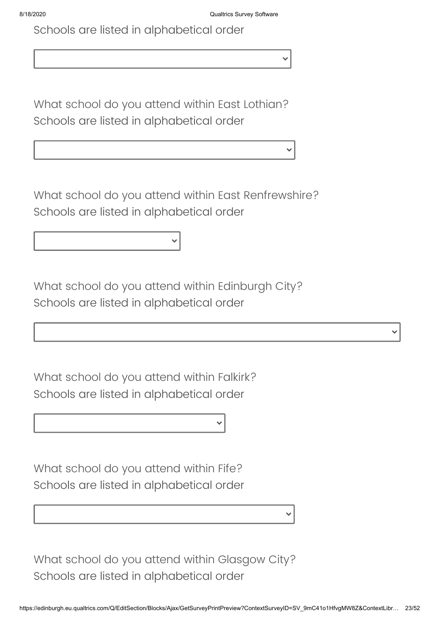Schools are listed in alphabetical order

What school do you attend within East Lothian? Schools are listed in alphabetical order

What school do you attend within East Renfrewshire? Schools are listed in alphabetical order

What school do you attend within Edinburgh City? Schools are listed in alphabetical order

What school do you attend within Falkirk? Schools are listed in alphabetical order

What school do you attend within Fife? Schools are listed in alphabetical order

What school do you attend within Glasgow City? Schools are listed in alphabetical order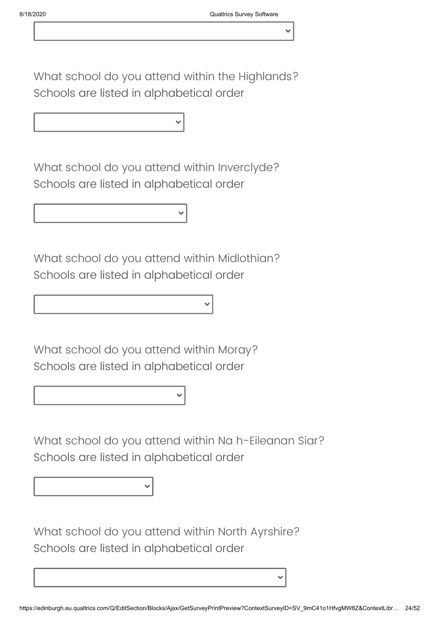What school do you attend within the Highlands? Schools are listed in alphabetical order

What school do you attend within Inverclyde? Schools are listed in alphabetical order

What school do you attend within Midlothian? Schools are listed in alphabetical order

What school do you attend within Moray? Schools are listed in alphabetical order

What school do you attend within Na h-Eileanan Siar? Schools are listed in alphabetical order

What school do you attend within North Ayrshire? Schools are listed in alphabetical order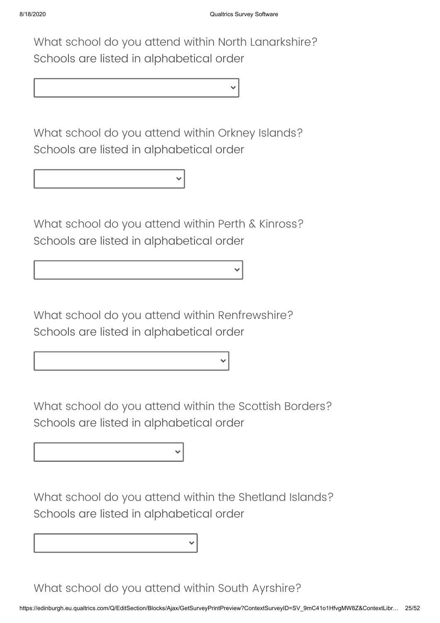What school do you attend within North Lanarkshire? Schools are listed in alphabetical order

What school do you attend within Orkney Islands? Schools are listed in alphabetical order

What school do you attend within Perth & Kinross? Schools are listed in alphabetical order

What school do you attend within Renfrewshire? Schools are listed in alphabetical order

What school do you attend within the Scottish Borders? Schools are listed in alphabetical order

What school do you attend within the Shetland Islands? Schools are listed in alphabetical order

What school do you attend within South Ayrshire?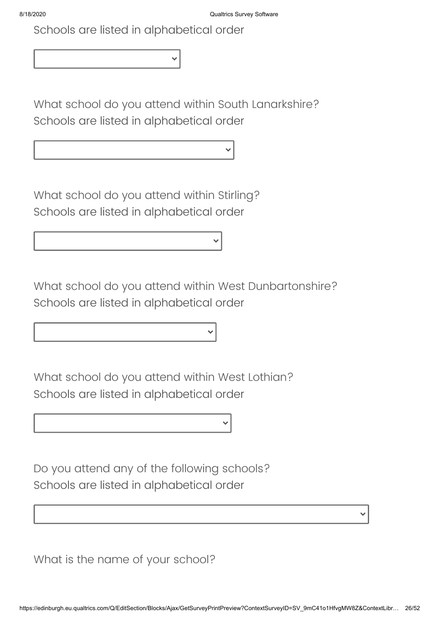Schools are listed in alphabetical order

What school do you attend within South Lanarkshire? Schools are listed in alphabetical order

What school do you attend within Stirling? Schools are listed in alphabetical order

What school do you attend within West Dunbartonshire? Schools are listed in alphabetical order

What school do you attend within West Lothian? Schools are listed in alphabetical order

Do you attend any of the following schools? Schools are listed in alphabetical order

What is the name of your school?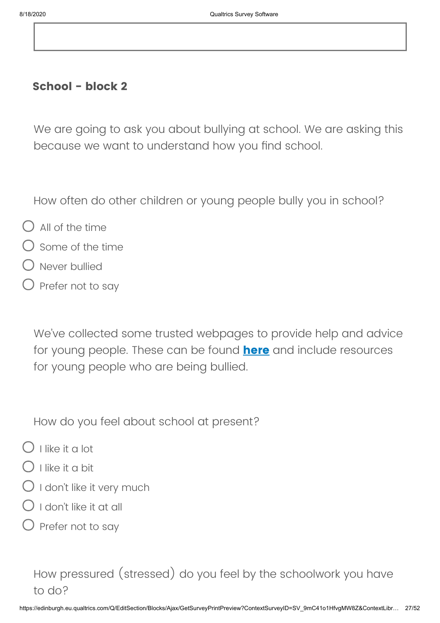#### **School - block 2**

We are going to ask you about bullying at school. We are asking this because we want to understand how you find school.

How often do other children or young people bully you in school?

- $\bigcirc$  All of the time
- $\bigcap$  Some of the time
- Never bullied
- Prefer not to say

We've collected some trusted webpages to provide help and advice for young people. These can be found **[here](https://www.ed.ac.uk/generation-scotland/covidlife-volunteers/useful-covid19-support-links)** and include resources for young people who are being bullied.

How do you feel about school at present?

- $\bigcap$  I like it a lot
- ) I like it a bit
- $\bigcirc$  I don't like it very much
- $\bigcap$  I don't like it at all
- $\bigcirc$  Prefer not to say

# How pressured (stressed) do you feel by the schoolwork you have to do?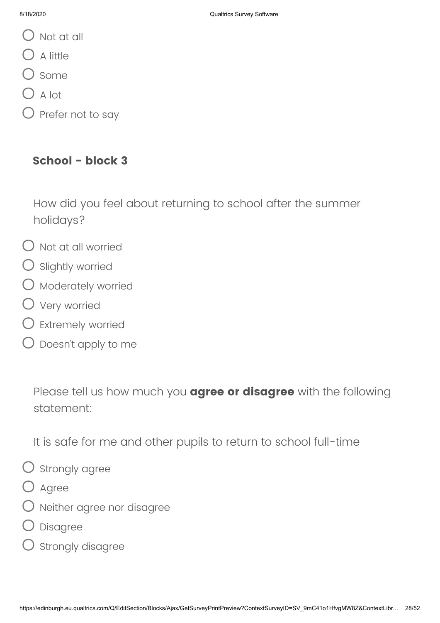- $\bigcup$  Not at all
- $O$  A little
- $\bigcup$  Some
- $\bigcirc$  A lot
- Prefer not to say

### **School - block 3**

How did you feel about returning to school after the summer holidays?

- $\bigcirc$  Not at all worried
- $O$  Slightly worried
- $\bigcirc$  Moderately worried
- Very worried
- Extremely worried
- Doesn't apply to me

Please tell us how much you **agree or disagree** with the following statement:

It is safe for me and other pupils to return to school full-time

- $\bigcirc$  strongly agree
- O Agree
- Neither agree nor disagree
- Disagree
- Strongly disagree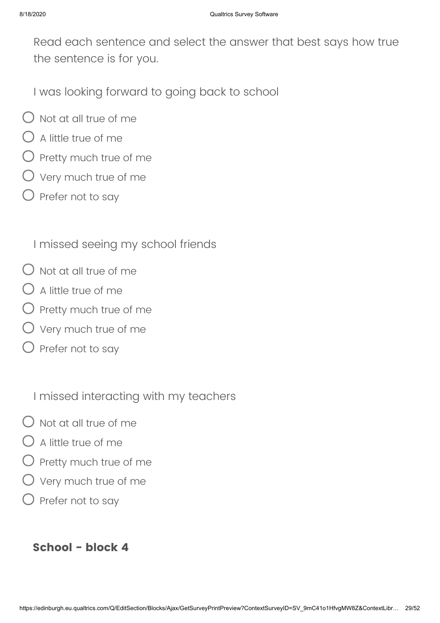Read each sentence and select the answer that best says how true the sentence is for you.

I was looking forward to going back to school

- $\bigcirc$  Not at all true of me
- $\bigcirc$  A little true of me
- $\bigcirc$  Pretty much true of me
- $O$  Very much true of me
- $\bigcirc$  Prefer not to say

I missed seeing my school friends

- $\bigcirc$  Not at all true of me
- $\bigcirc$  A little true of me
- $\bigcirc$  Pretty much true of me
- Very much true of me
- $\bigcirc$  Prefer not to say

I missed interacting with my teachers

- $\bigcirc$  Not at all true of me
- $\bigcap$  A little true of me
- $\bigcirc$  Pretty much true of me
- Very much true of me
- $\bigcirc$  Prefer not to say

### **School - block 4**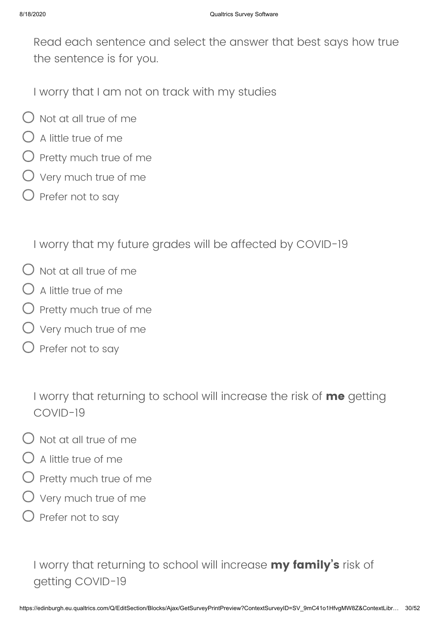Read each sentence and select the answer that best says how true the sentence is for you.

I worry that I am not on track with my studies

- $\bigcirc$  Not at all true of me
- $\bigcirc$  A little true of me
- $\bigcirc$  Pretty much true of me
- $\bigcirc$  Very much true of me
- $\bigcirc$  Prefer not to say

I worry that my future grades will be affected by COVID-19

- $\bigcirc$  Not at all true of me
- $\bigcap$  A little true of me
- $\bigcirc$  Pretty much true of me
- $\bigcirc$  Very much true of me
- $\bigcirc$  Prefer not to say

I worry that returning to school will increase the risk of **me** getting COVID-19

- $\bigcirc$  Not at all true of me
- $\bigcap$  A little true of me
- $O$  Pretty much true of me
- $\bigcirc$  Very much true of me
- $\bigcirc$  Prefer not to say

I worry that returning to school will increase **my family's** risk of getting COVID-19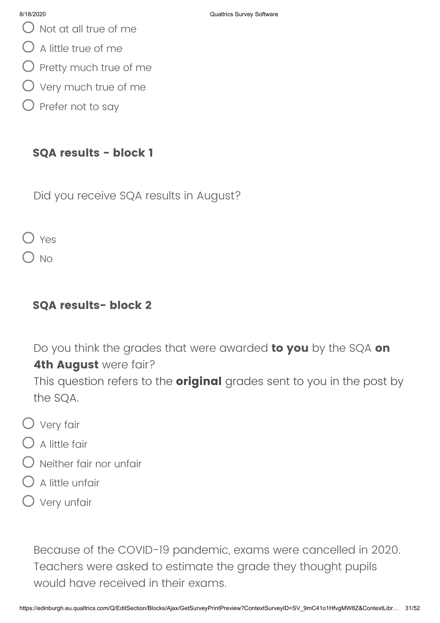- $\bigcirc$  Not at all true of me
- $\bigcirc$  A little true of me
- $\bigcirc$  Pretty much true of me
- $\bigcirc$  Very much true of me
- $\bigcirc$  Prefer not to say

### **SQA results - block 1**

Did you receive SQA results in August?

O Yes

 $\bigcap$  No

### **SQA results- block 2**

Do you think the grades that were awarded **to you** by the SQA **on 4th August** were fair?

This question refers to the **original** grades sent to you in the post by the SQA.

- Very fair
- $\bigcap$  A little fair
- $\bigcirc$  Neither fair nor unfair
- A little unfair
- $O$  Very unfair

Because of the COVID-19 pandemic, exams were cancelled in 2020. Teachers were asked to estimate the grade they thought pupils would have received in their exams.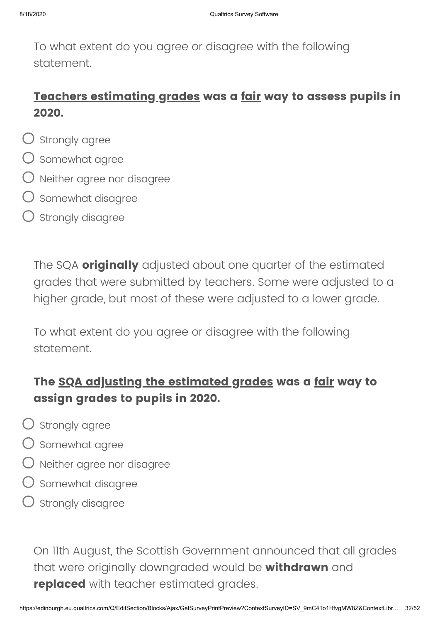To what extent do you agree or disagree with the following statement.

# **Teachers estimating grades was a fair way to assess pupils in 2020.**

- $\bigcirc$  strongly agree
- $\bigcirc$  Somewhat agree
- $\bigcirc$  Neither agree nor disagree
- $\bigcup$  Somewhat disagree
- ) Strongly disagree

The SQA **originally** adjusted about one quarter of the estimated grades that were submitted by teachers. Some were adjusted to a higher grade, but most of these were adjusted to a lower grade.

To what extent do you agree or disagree with the following statement.

# **The SQA adjusting the estimated grades was a fair way to assign grades to pupils in 2020.**

- $\bigcirc$  Strongly agree
- $\bigcirc$  somewhat agree
- Neither agree nor disagree
- $\bigcup$  Somewhat disagree
- $\bigcirc$  strongly disagree

On 11th August, the Scottish Government announced that all grades that were originally downgraded would be **withdrawn** and **replaced** with teacher estimated grades.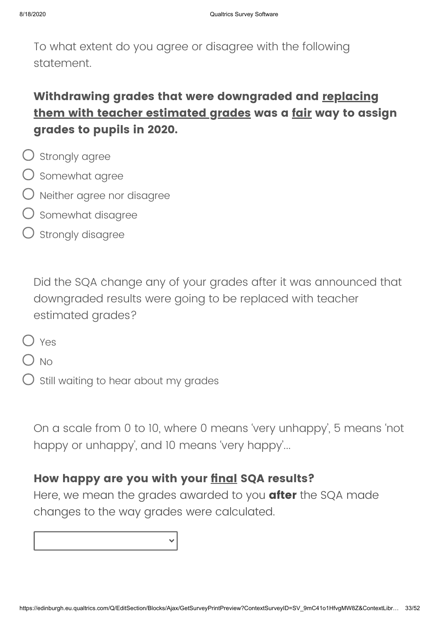To what extent do you agree or disagree with the following statement.

# **Withdrawing grades that were downgraded and replacing them with teacher estimated grades was a fair way to assign grades to pupils in 2020.**

- $\bigcirc$  Strongly agree
- $\bigcirc$  Somewhat agree
- Neither agree nor disagree
- Somewhat disagree
- Strongly disagree

Did the SQA change any of your grades after it was announced that downgraded results were going to be replaced with teacher estimated grades?

- $\bigcap$  Yes
- $\bigcap$  No
- Still waiting to hear about my grades

On a scale from 0 to 10, where 0 means 'very unhappy', 5 means 'not happy or unhappy', and 10 means 'very happy'...

#### **How happy are you with your final SQA results?**

Here, we mean the grades awarded to you **after** the SQA made changes to the way grades were calculated.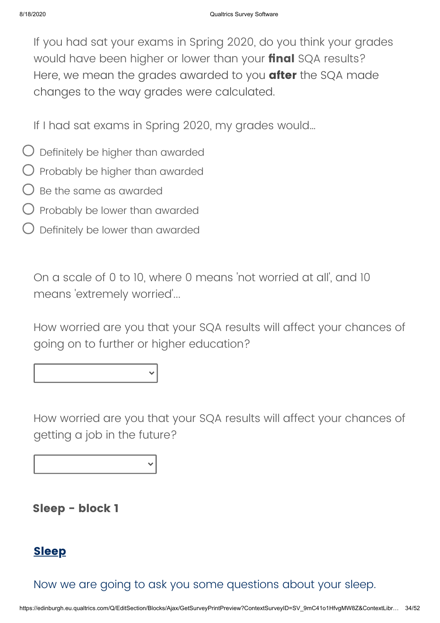If you had sat your exams in Spring 2020, do you think your grades would have been higher or lower than your **final** SQA results? Here, we mean the grades awarded to you **after** the SQA made changes to the way grades were calculated.

If I had sat exams in Spring 2020, my grades would…

- $\bigcirc$  Definitely be higher than awarded
- $\bigcirc$  Probably be higher than awarded
- $\bigcap$  Be the same as awarded
- $\bigcup$  Probably be lower than awarded
- $\bigcirc$  Definitely be lower than awarded

On a scale of 0 to 10, where 0 means 'not worried at all', and 10 means 'extremely worried'...

How worried are you that your SQA results will affect your chances of going on to further or higher education?

How worried are you that your SQA results will affect your chances of getting a job in the future?

**Sleep - block 1**

### **Sleep**

Now we are going to ask you some questions about your sleep.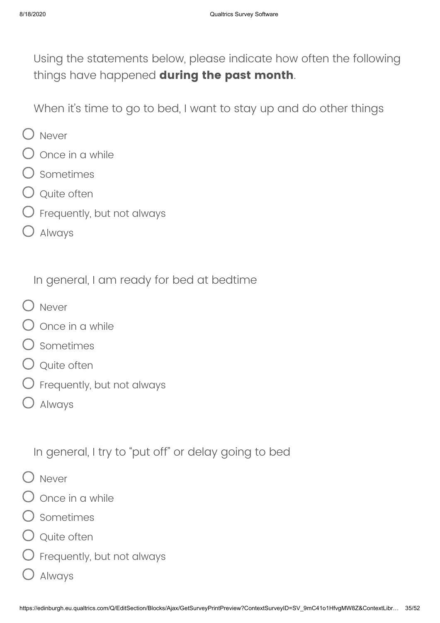Using the statements below, please indicate how often the following things have happened **during the past month**.

When it's time to go to bed, I want to stay up and do other things

- O Never
- Once in a while
- Sometimes
- $\bigcirc$  Ouite often
- $\bigcirc$  Frequently, but not always
- Always

In general, I am ready for bed at bedtime

- O Never
- $\overline{\mathcal{C}}$  Once in a while
- Sometimes
- $\bigcirc$  Quite often
- Frequently, but not always
- Always

In general, I try to "put off" or delay going to bed

- O Never
- Once in a while
- Sometimes
- $\bigcirc$  Quite often
- $\bigcirc$  Frequently, but not always
	- Always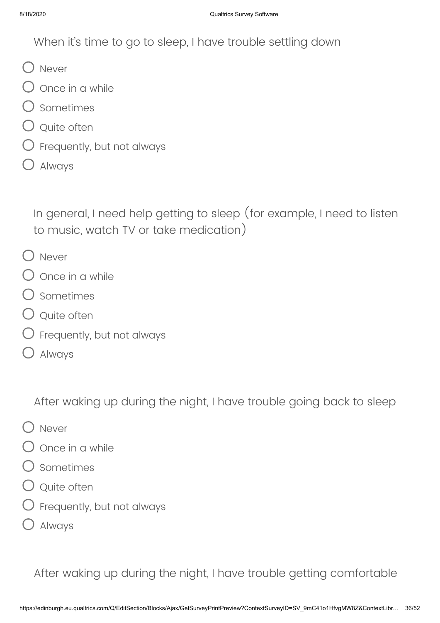When it's time to go to sleep, I have trouble settling down

- O Never
- $\bigcirc$  once in a while
- $\bigcirc$  Sometimes
- ) Ouite often
- $\mathcal D$  Frequently, but not always
- Always

In general, I need help getting to sleep (for example, I need to listen to music, watch TV or take medication)

- O Never
- Once in a while
- Sometimes
- Q Quite often
- $\bigcirc$  Frequently, but not always
- Always

After waking up during the night, I have trouble going back to sleep

- O Never
- Once in a while
- Sometimes
- $\bigcirc$  Quite often
- $\bigcirc$  Frequently, but not always
- Always

After waking up during the night, I have trouble getting comfortable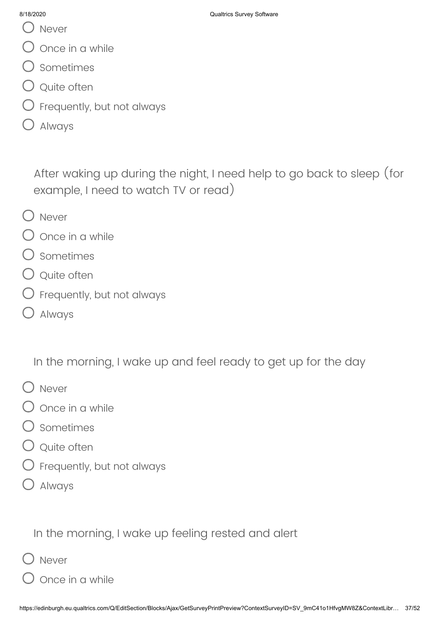- () Never
- Once in a while
- Sometimes
- Q Quite often
- $\bigcirc$  Frequently, but not always
- Always

After waking up during the night, I need help to go back to sleep (for example, I need to watch TV or read)

- O Never
- Once in a while
- Sometimes
- Q Quite often
- $\bigcirc$  Frequently, but not always
- Always

In the morning, I wake up and feel ready to get up for the day

- O Never
- Once in a while
- Sometimes
- Q Quite often
- $\bigcirc$  Frequently, but not always
- Always

In the morning, I wake up feeling rested and alert

- Never
	- Once in a while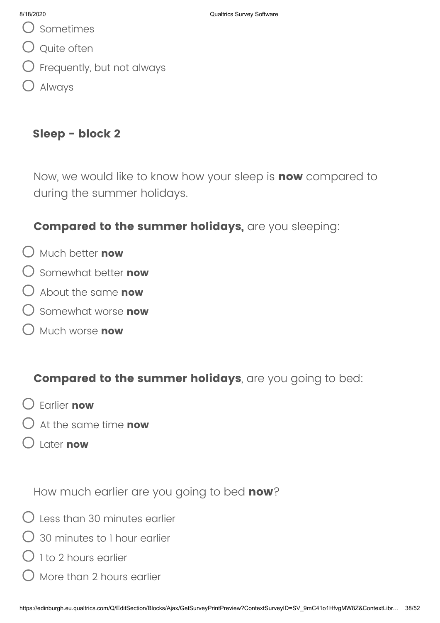- Sometimes
- Q Quite often
- $\overline{\mathcal{G}}$  Frequently, but not always
- Always

# **Sleep - block 2**

Now, we would like to know how your sleep is **now** compared to during the summer holidays.

# **Compared to the summer holidays,** are you sleeping:

- Much better **now**
- Somewhat better **now**
- About the same **now**
- Somewhat worse **now**
- Much worse **now**

# **Compared to the summer holidays**, are you going to bed:

- Earlier **now**
- At the same time **now**
- Later **now**

How much earlier are you going to bed **now**?

- $\bigcirc$  Less than 30 minutes earlier
- 30 minutes to 1 hour earlier
- $\bigcirc$  1 to 2 hours earlier
- More than 2 hours earlier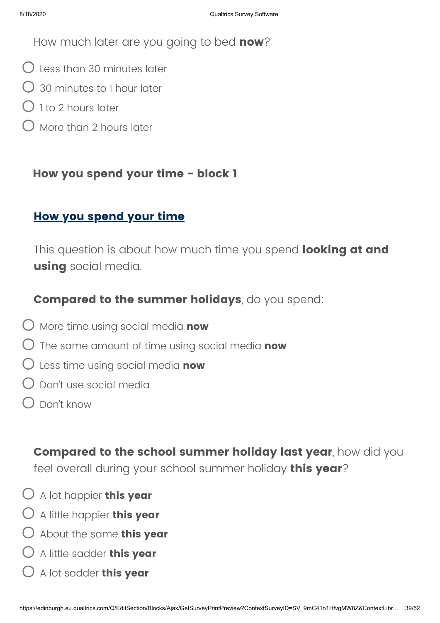How much later are you going to bed **now**?

- $\bigcup$  Less than 30 minutes later
- 30 minutes to 1 hour later
- $()$  1 to 2 hours later
- More than 2 hours later

### **How you spend your time - block 1**

### **How you spend your time**

This question is about how much time you spend **looking at and using** social media.

### **Compared to the summer holidays**, do you spend:

- More time using social media **now**
- The same amount of time using social media **now**
- Less time using social media **now**
- Don't use social media
- Don't know

**Compared to the school summer holiday last year**, how did you feel overall during your school summer holiday **this year**?

- A lot happier **this year**
- A little happier **this year**
- About the same **this year**
- A little sadder **this year**
- A lot sadder **this year**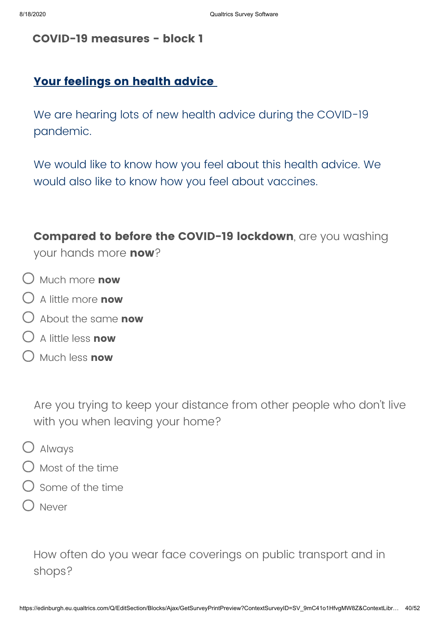#### **COVID-19 measures - block 1**

### **Your feelings on health advice**

We are hearing lots of new health advice during the COVID-19 pandemic.

We would like to know how you feel about this health advice. We would also like to know how you feel about vaccines.

**Compared to before the COVID-19 lockdown**, are you washing your hands more **now**?

- Much more **now**
- A little more **now**
- About the same **now**
- A little less **now**
- Much less **now**

Are you trying to keep your distance from other people who don't live with you when leaving your home?

- Always
- $\bigcirc$  Most of the time
- Some of the time
- Never

How often do you wear face coverings on public transport and in shops?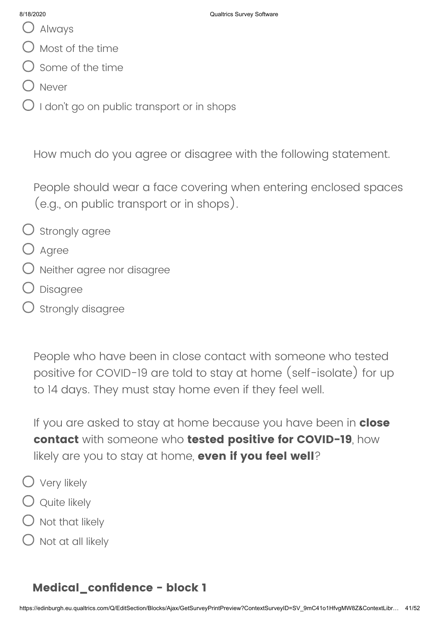- Always
- $\bigcirc$  Most of the time
- $\bigcirc$  Some of the time
- O Never
- $\bigcirc$  I don't go on public transport or in shops

How much do you agree or disagree with the following statement.

People should wear a face covering when entering enclosed spaces (e.g., on public transport or in shops).

- $\bigcirc$  strongly agree
- $O$  Agree
- Neither agree nor disagree
- Disagree
- $\bigcirc$  Strongly disagree

People who have been in close contact with someone who tested positive for COVID-19 are told to stay at home (self-isolate) for up to 14 days. They must stay home even if they feel well.

If you are asked to stay at home because you have been in **close contact** with someone who **tested positive for COVID-19**, how likely are you to stay at home, **even if you feel well**?

- Very likely
- $\bigcirc$  Quite likely
- $\bigcirc$  Not that likely
- $\bigcirc$  Not at all likely

### **Medical\_confidence - block 1**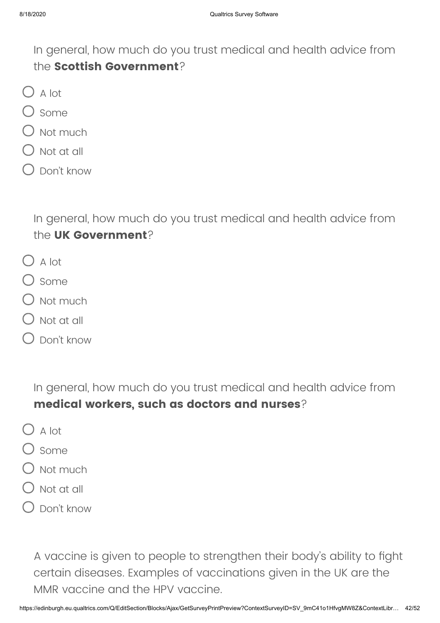In general, how much do you trust medical and health advice from the **Scottish Government**?

- $O$  A lot
- $\bigcirc$  some
- $\bigcirc$  Not much
- Not at all
- Don't know

In general, how much do you trust medical and health advice from the **UK Government**?

- $O$  A lot
- $\bigcap$  Some
- $\lambda$  Not much
- $\big)$  Not at all
- Don't know

In general, how much do you trust medical and health advice from **medical workers, such as doctors and nurses**?

- $\bigcirc$  A lot
- $)$  Some
- $\bigcirc$  Not much
- Not at all
- Don't know

A vaccine is given to people to strengthen their body's ability to fight certain diseases. Examples of vaccinations given in the UK are the MMR vaccine and the HPV vaccine.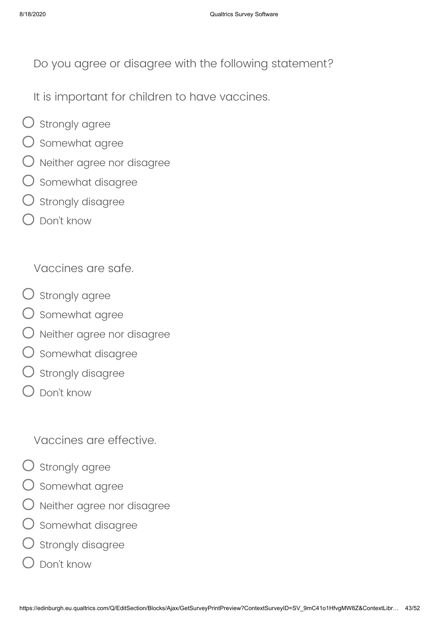Do you agree or disagree with the following statement?

It is important for children to have vaccines.

- $\bigcirc$  strongly agree
- $\bigcirc$  somewhat agree
- Neither agree nor disagree
- $\bigcirc$  Somewhat disagree
- $\bigcirc$  strongly disagree
- Don't know

Vaccines are safe.

- $\bigcirc$  strongly agree
- O somewhat agree
- $\bigcirc$  Neither agree nor disagree
- $\bigcirc$  Somewhat disagree
- $\bigcirc$  strongly disagree
- Don't know

Vaccines are effective.

- $\bigcirc$  strongly agree
- $\bigcirc$  somewhat agree
- $\bigcirc$  Neither agree nor disagree
- $\bigcirc$  Somewhat disagree
- $\bigcirc$  strongly disagree
- Don't know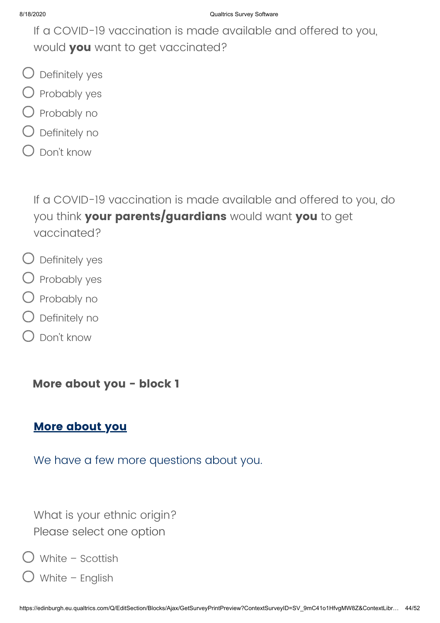If a COVID-19 vaccination is made available and offered to you, would **you** want to get vaccinated?

- Definitely yes
- $\bigcirc$  Probably yes
- $\bigcirc$  Probably no
- Definitely no
- Don't know

If a COVID-19 vaccination is made available and offered to you, do you think **your parents/guardians** would want **you** to get vaccinated?

- Definitely yes
- $\bigcirc$  Probably yes
- $\bigcirc$  Probably no
- Definitely no
- Don't know

**More about you - block 1**

### **More about you**

We have a few more questions about you.

What is your ethnic origin? Please select one option

White – Scottish

White – English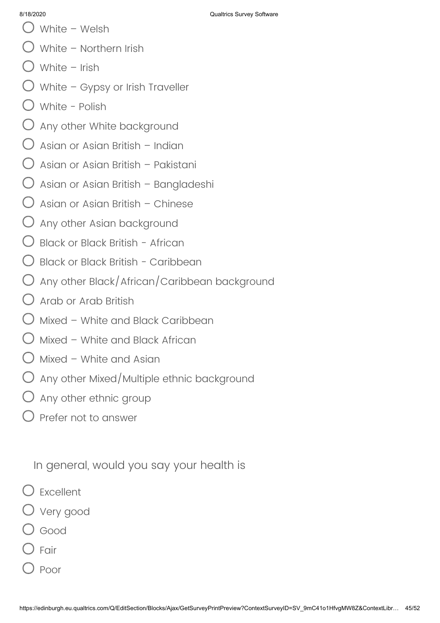- 8/18/2020 Qualtrics Survey Software
- White Welsh
- White Northern Irish
- White Irish
- $\bigcirc$  White Gypsy or Irish Traveller
- White Polish
- $\bigcirc$  Any other White background
- $\bigcirc$  Asian or Asian British Indian
- $\bigcup$  Asian or Asian British Pakistani
- $\bigcirc$  Asian or Asian British Bangladeshi
- $\bigcirc$  Asian or Asian British Chinese
- $\bigcup$  Any other Asian background
- Black or Black British African
- Black or Black British Caribbean
- Any other Black/African/Caribbean background
- Arab or Arab British
- $\bigcirc$  Mixed White and Black Caribbean
- $\bigcirc$  Mixed White and Black African
- $\bigcup$  Mixed White and Asian
- $\bigcirc$  Any other Mixed/Multiple ethnic background
- $\bigcirc$  Any other ethnic group
- Prefer not to answer

In general, would you say your health is

- Excellent
- Very good
- Good
- Fair
- Poor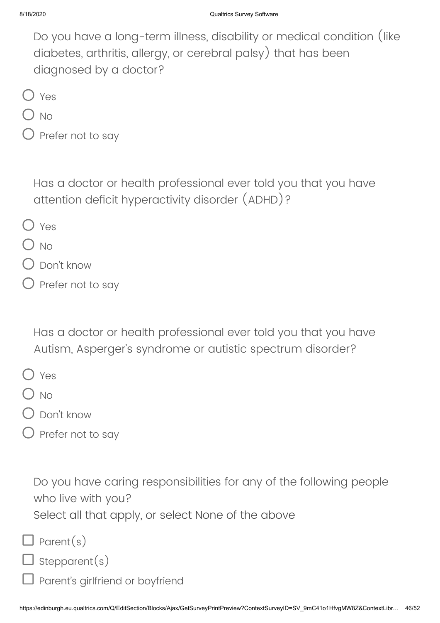Do you have a long-term illness, disability or medical condition (like diabetes, arthritis, allergy, or cerebral palsy) that has been diagnosed by a doctor?

O Yes

) No

) Prefer not to say

Has a doctor or health professional ever told you that you have attention deficit hyperactivity disorder (ADHD)?

- O Yes
- $\bigcap$  No
- Don't know
- Prefer not to say

Has a doctor or health professional ever told you that you have Autism, Asperger's syndrome or autistic spectrum disorder?

- Yes
- $\bigcap$  No
- Don't know
- Prefer not to say

Do you have caring responsibilities for any of the following people who live with you?

Select all that apply, or select None of the above

 $\Box$  Parent(s)

- I stepparent(s)
- Parent's girlfriend or boyfriend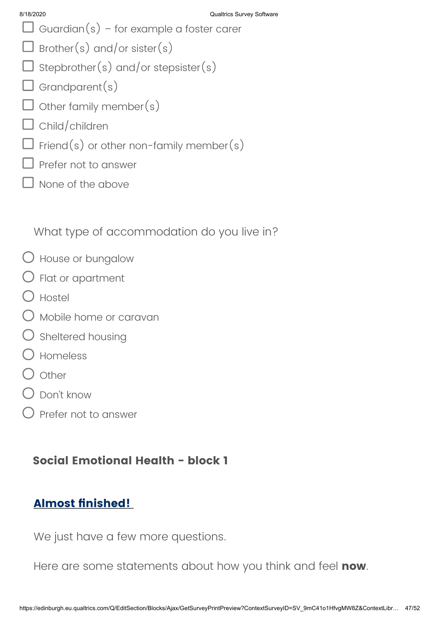- $\Box$  Guardian(s) for example a foster carer
- $\Box$  Brother(s) and/or sister(s)
- $\square$  Stepbrother(s) and/or stepsister(s)
- $\Box$  Grandparent(s)
- $\Box$  other family member(s)
- $\Box$  Child/children
- $\Box$  Friend(s) or other non-family member(s)
- $\Box$  Prefer not to answer
- I None of the above

What type of accommodation do you live in?

- House or bungalow
- $\bigcirc$  Flat or apartment
- $\bigcap$  Hostel
- $\bigcirc$  Mobile home or caravan
- $\bigcirc$  Sheltered housing
- Homeless
- O other
- $\bigcap$  Don't know
- Prefer not to answer

# **Social Emotional Health - block 1**

# **Almost finished!**

We just have a few more questions.

Here are some statements about how you think and feel **now**.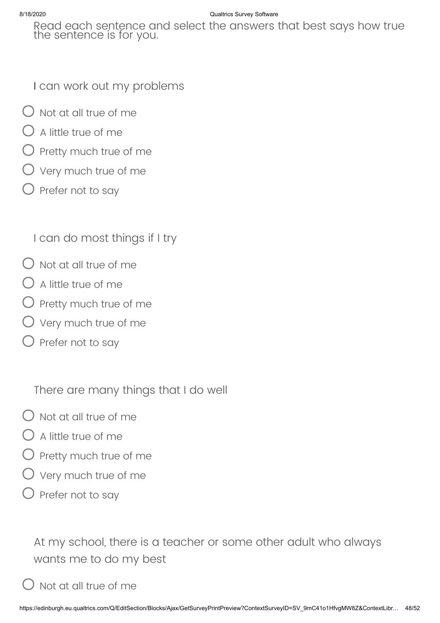#### 8/18/2020 Qualtrics Survey Software

Read each sentence and select the answers that best says how true the sentence is for you.

I can work out my problems

- $\bigcirc$  Not at all true of me
- $\bigcirc$  A little true of me
- $\bigcirc$  Pretty much true of me
- Very much true of me
- $\bigcirc$  Prefer not to say

I can do most things if I try

- $\bigcap$  Not at all true of me
- $\bigcirc$  A little true of me
- $\bigcirc$  Pretty much true of me
- $\bigcirc$  Very much true of me
- $\bigcirc$  Prefer not to say

There are many things that I do well

- $\bigcirc$  Not at all true of me
- $\bigcirc$  A little true of me
- $\overline{D}$  Pretty much true of me
- Very much true of me
- $\bigcirc$  Prefer not to say

At my school, there is a teacher or some other adult who always wants me to do my best

Not at all true of me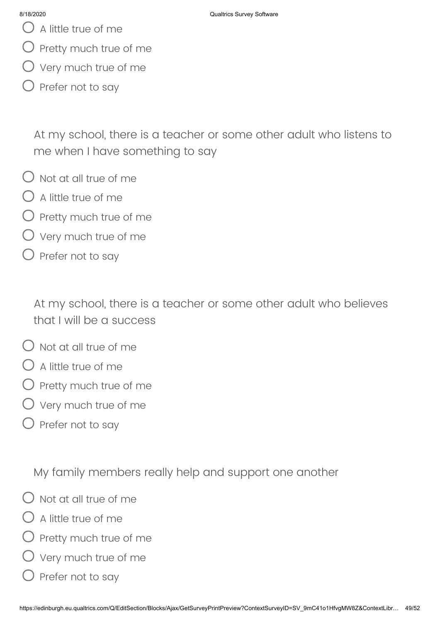- $\bigcup$  A little true of me
- $\bigcirc$  Pretty much true of me
- $\bigcirc$  Very much true of me
- Prefer not to say

At my school, there is a teacher or some other adult who listens to me when I have something to say

- $\bigcirc$  Not at all true of me
- $\bigcap$  A little true of me
- $\bigcirc$  Pretty much true of me
- $\overline{U}$  Very much true of me
- $\bigcirc$  Prefer not to say

At my school, there is a teacher or some other adult who believes that I will be a success

- $\bigcap$  Not at all true of me
- $\bigcirc$  A little true of me
- Pretty much true of me
- Very much true of me
- $\bigcirc$  Prefer not to say

My family members really help and support one another

- $\bigcap$  Not at all true of me
- A little true of me
- $\bigcirc$  Pretty much true of me
- $\bigcirc$  Very much true of me
- $\big)$  Prefer not to say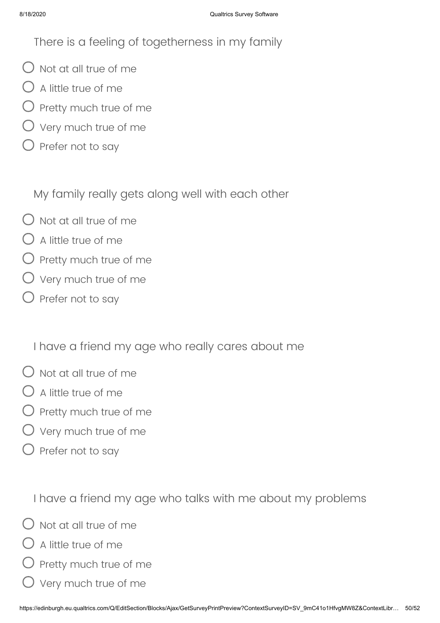There is a feeling of togetherness in my family

- $\bigcirc$  Not at all true of me
- $\bigcirc$  A little true of me
- $\bigcirc$  Pretty much true of me
- Very much true of me
- $\bigcirc$  Prefer not to say

My family really gets along well with each other

- $\bigcirc$  Not at all true of me
- $\bigcap$  A little true of me
- $O$  Pretty much true of me
- $\bigcirc$  Very much true of me
- $\bigcirc$  Prefer not to say

I have a friend my age who really cares about me

- $\bigcirc$  Not at all true of me
- $\lambda$  A little true of me
- $\bigcirc$  Pretty much true of me
- $\overline{\phantom{a}}$  Very much true of me
- $\bigcirc$  Prefer not to say

I have a friend my age who talks with me about my problems

- $\bigcap$  Not at all true of me
- A little true of me
- ) Pretty much true of me
- Very much true of me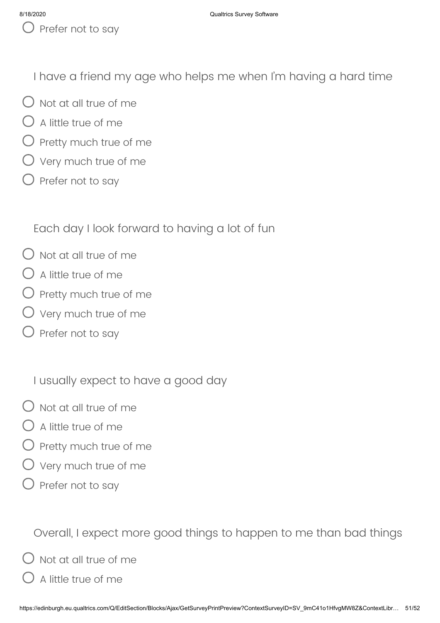$\bigcup$  Prefer not to say

I have a friend my age who helps me when I'm having a hard time

- $\bigcirc$  Not at all true of me
- $\bigcirc$  A little true of me
- $O$  Pretty much true of me
- $\bigcirc$  Very much true of me
- $\bigcirc$  Prefer not to say

Each day I look forward to having a lot of fun

- $\bigcap$  Not at all true of me
- $\bigcirc$  A little true of me
- $\bigcirc$  Pretty much true of me
- $O$  Very much true of me
- $\bigcirc$  Prefer not to say

I usually expect to have a good day

- $\bigcirc$  Not at all true of me
- $\bigcap$  A little true of me
- $\bigcirc$  Pretty much true of me
- $\bigcirc$  Very much true of me
- $\bigcirc$  Prefer not to say

Overall, I expect more good things to happen to me than bad things

 $\overline{\phantom{a}}$  Not at all true of me

A little true of me